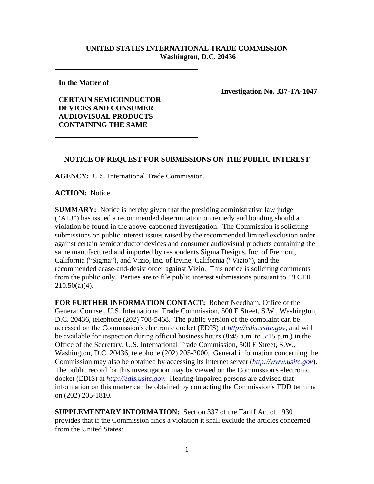## **UNITED STATES INTERNATIONAL TRADE COMMISSION Washington, D.C. 20436**

**In the Matter of** 

**CERTAIN SEMICONDUCTOR DEVICES AND CONSUMER AUDIOVISUAL PRODUCTS CONTAINING THE SAME** 

**Investigation No. 337-TA-1047**

## **NOTICE OF REQUEST FOR SUBMISSIONS ON THE PUBLIC INTEREST**

**AGENCY:** U.S. International Trade Commission.

**ACTION:** Notice.

**SUMMARY:** Notice is hereby given that the presiding administrative law judge ("ALJ") has issued a recommended determination on remedy and bonding should a violation be found in the above-captioned investigation. The Commission is soliciting submissions on public interest issues raised by the recommended limited exclusion order against certain semiconductor devices and consumer audiovisual products containing the same manufactured and imported by respondents Sigma Designs, Inc. of Fremont, California ("Sigma"), and Vizio, Inc. of Irvine, California ("Vizio"), and the recommended cease-and-desist order against Vizio. This notice is soliciting comments from the public only. Parties are to file public interest submissions pursuant to 19 CFR  $210.50(a)(4)$ .

**FOR FURTHER INFORMATION CONTACT:** Robert Needham, Office of the General Counsel, U.S. International Trade Commission, 500 E Street, S.W., Washington, D.C. 20436, telephone (202) 708-5468. The public version of the complaint can be accessed on the Commission's electronic docket (EDIS) at *http://edis.usitc.gov*, and will be available for inspection during official business hours (8:45 a.m. to 5:15 p.m.) in the Office of the Secretary, U.S. International Trade Commission, 500 E Street, S.W., Washington, D.C. 20436, telephone (202) 205-2000. General information concerning the Commission may also be obtained by accessing its Internet server (*http://www.usitc.gov*). The public record for this investigation may be viewed on the Commission's electronic docket (EDIS) at *http://edis.usitc.gov.* Hearing-impaired persons are advised that information on this matter can be obtained by contacting the Commission's TDD terminal on (202) 205-1810.

**SUPPLEMENTARY INFORMATION:** Section 337 of the Tariff Act of 1930 provides that if the Commission finds a violation it shall exclude the articles concerned from the United States: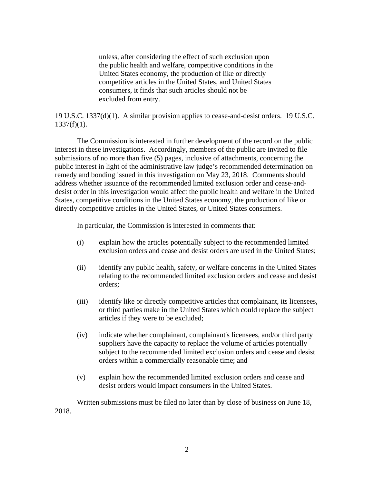unless, after considering the effect of such exclusion upon the public health and welfare, competitive conditions in the United States economy, the production of like or directly competitive articles in the United States, and United States consumers, it finds that such articles should not be excluded from entry.

19 U.S.C. 1337(d)(1). A similar provision applies to cease-and-desist orders. 19 U.S.C.  $1337(f)(1)$ .

The Commission is interested in further development of the record on the public interest in these investigations. Accordingly, members of the public are invited to file submissions of no more than five (5) pages, inclusive of attachments, concerning the public interest in light of the administrative law judge's recommended determination on remedy and bonding issued in this investigation on May 23, 2018.Comments should address whether issuance of the recommended limited exclusion order and cease-anddesist order in this investigation would affect the public health and welfare in the United States, competitive conditions in the United States economy, the production of like or directly competitive articles in the United States, or United States consumers.

In particular, the Commission is interested in comments that:

- (i) explain how the articles potentially subject to the recommended limited exclusion orders and cease and desist orders are used in the United States;
- (ii) identify any public health, safety, or welfare concerns in the United States relating to the recommended limited exclusion orders and cease and desist orders;
- (iii) identify like or directly competitive articles that complainant, its licensees, or third parties make in the United States which could replace the subject articles if they were to be excluded;
- (iv) indicate whether complainant, complainant's licensees, and/or third party suppliers have the capacity to replace the volume of articles potentially subject to the recommended limited exclusion orders and cease and desist orders within a commercially reasonable time; and
- (v) explain how the recommended limited exclusion orders and cease and desist orders would impact consumers in the United States.

Written submissions must be filed no later than by close of business on June 18, 2018.